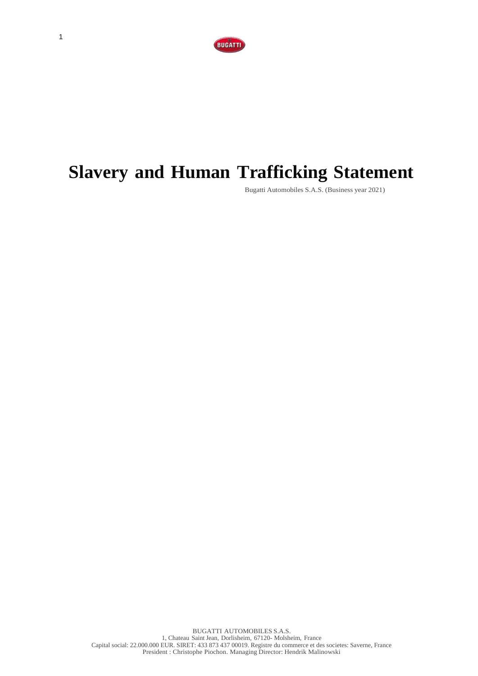

# **Slavery and Human Trafficking Statement**

Bugatti Automobiles S.A.S. (Business year 2021)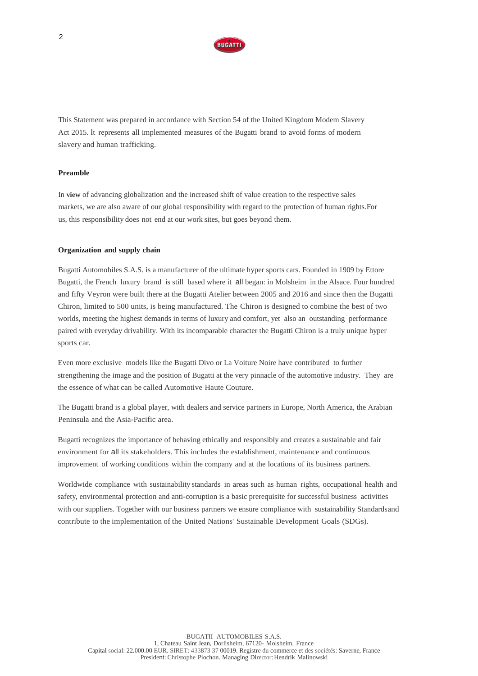

This Statement was prepared in accordance with Section 54 of the United Kingdom Modem Slavery Act 2015. lt represents all implemented measures of the Bugatti brand to avoid forms of modern slavery and human trafficking.

### **Preamble**

In **view** of advancing globalization and the increased shift of value creation to the respective sales markets, we are also aware of our global responsibility with regard to the protection of human rights.For us, this responsibility does not end at our work sites, but goes beyond them.

#### **Organization and supply chain**

Bugatti Automobiles S.A.S. is a manufacturer of the ultimate hyper sports cars. Founded in 1909 by Ettore Bugatti, the French luxury brand is still based where it all began: in Molsheim in the Alsace. Four hundred and fifty Veyron were built there at the Bugatti Atelier between 2005 and 2016 and since then the Bugatti Chiron, limited to 500 units, is being manufactured. The Chiron is designed to combine the best of two worlds, meeting the highest demands in terms of luxury and comfort, yet also an outstanding performance paired with everyday drivability. With its incomparable character the Bugatti Chiron is a truly unique hyper sports car.

Even more exclusive models like the Bugatti Divo or La Voiture Noire have contributed to further strengthening the image and the position of Bugatti at the very pinnacle of the automotive industry. They are the essence of what can be called Automotive Haute Couture.

The Bugatti brand is a global player, with dealers and service partners in Europe, North America, the Arabian Peninsula and the Asia-Pacific area.

Bugatti recognizes the importance of behaving ethically and responsibly and creates a sustainable and fair environment for all its stakeholders. This includes the establishment, maintenance and continuous improvement of working conditions within the company and at the locations of its business partners.

Worldwide compliance with sustainability standards in areas such as human rights, occupational health and safety, environmental protection and anti-corruption is a basic prerequisite for successful business activities with our suppliers. Together with our business partners we ensure compliance with sustainability Standardsand contribute to the implementation of the United Nations' Sustainable Development Goals (SDGs).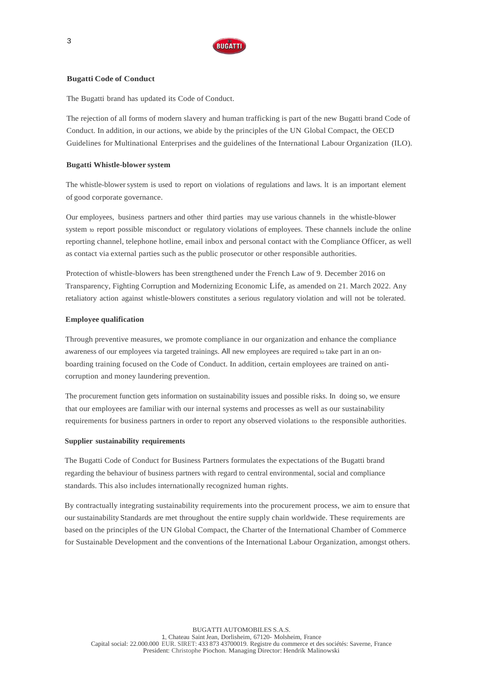

# **Bugatti Code of Conduct**

The Bugatti brand has updated its Code of Conduct.

The rejection of all forms of modern slavery and human trafficking is part of the new Bugatti brand Code of Conduct. In addition, in our actions, we abide by the principles of the UN Global Compact, the OECD Guidelines for Multinational Enterprises and the guidelines of the International Labour Organization (ILO).

# **Bugatti Whistle-blower system**

The whistle-blowersystem is used to report on violations of regulations and laws. lt is an important element of good corporate governance.

Our employees, business partners and other third parties may use various channels in the whistle-blower system to report possible misconduct or regulatory violations of employees. These channels include the online reporting channel, telephone hotline, email inbox and personal contact with the Compliance Officer, as well as contact via external parties such as the public prosecutor or other responsible authorities.

Protection of whistle-blowers has been strengthened under the French Law of 9. December 2016 on Transparency, Fighting Corruption and Modernizing Economic Life, as amended on 21. March 2022. Any retaliatory action against whistle-blowers constitutes a serious regulatory violation and will not be tolerated.

## **Employee qualification**

Through preventive measures, we promote compliance in our organization and enhance the compliance awareness of our employees via targeted trainings. All new employees are required to take part in an onboarding training focused on the Code of Conduct. In addition, certain employees are trained on anticorruption and money laundering prevention.

The procurement function gets information on sustainability issues and possible risks. In doing so, we ensure that our employees are familiar with our internal systems and processes as well as our sustainability requirements for business partners in order to report any observed violations to the responsible authorities.

## **Supplier sustainability requirements**

The Bugatti Code of Conduct for Business Partners formulates the expectations of the Bugatti brand regarding the behaviour of business partners with regard to central environmental, social and compliance standards. This also includes internationally recognized human rights.

By contractually integrating sustainability requirements into the procurement process, we aim to ensure that our sustainability Standards are met throughout the entire supply chain worldwide. These requirements are based on the principles of the UN Global Compact, the Charter of the International Chamber of Commerce for Sustainable Development and the conventions of the International Labour Organization, amongst others.